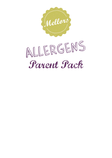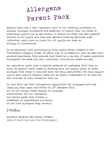Special diets are a very important part of our catering provision in schools. Allergen procedures are essential to ensure that the needs of individual pupils can be met safely. To ensure we offer the best possible service to our pupils and families, Mellors Catering Services have individual care plans in place for all pupils who have an allergy or intolerance.

In an education unit particularly, with pupils being classed in the 'vulnerable' category (under 18 years old), it is essential that we meet with parents/guardians. This ensures that there is a variety of meals available throughout the week and that individual nutritional needs are met.

Our education units have a captive audience of customers. With that in mind, we support their needs by working with our supply chain to offer allergen free foods to coincide with the daily menu/offer. We fully support pupils with special dietary needs and we make a commitment to do this for the lifetime of their education with us.

In line with the food information regulations for allergens and food labelling that came into effect on 13<sup>th</sup> December 2014, all of our dining rooms display an allergen notification for our customers. Our recipe packs also contain a breakdown of ingredients inclusive of the food allergens they contain.

D Watkins

Danielle Watkins BSc (Hons\_) RPHNtr Head of Nutrition and Food Development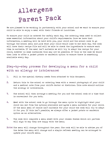We are pleased to be working in partnership with your school and we want to ensure your child is able to enjoy a meal with their friends at lunchtime.

To ensure your child is catered for safely each day, the catering team need to collect some essential information about your child's requirements. Once we have that information, a meeting will be held with you, your child and the school cook to go through the school menu and pick what your child would like to eat each day. The cook will have their recipe file and will be able to check the ingredients to ensure each item is suitable. If the meal isn't suitable we will try to adapt the recipe for your child, however in some instances this may not be possible. If this is the case we would then look to offer a jacket potato or sandwich option to ensure there is something available every day.

### Step-by-step process for developing a menu for a child with an allergy or intolerance:

- 1. Fill in the special dietary needs form attached to this document.
- 2. Return this to the school or catering team with a recent photograph of your child and a medical note from your child's doctor or dietician. This note should outline the allergy or intolerance.
- 3. The school will then arrange a meeting for you and the school cook at a time that is convenient for you both.
- 4. Meet with the school cook to go through the menu cycle to highlight what your child can eat from the options available and agree a menu suitable for your child. If the main meal of choice isn't suitable for your child the cook will try to adapt it for you. If this isn't possible, we always offer a jacket potato or sandwich option as an alternative.
- 5. The cook will complete a menu sheet with your chosen dishes which all parties will sign to say they are happy with the menu.
- Note: The menu will change throughout the year. The cook will be able to advise you of the dates the menu will change and a simple refresh meeting can be arranged to update your child's menu.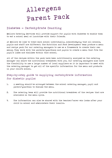#### Diabetes - Carbohydrate Counting

Mellors Catering Services will provide support for pupils with diabetes to enable them to eat a school meal at lunchtime with their friends.

At Mellors we like to treat each school individually, acknowledging that all schools, pupils and staff are different. The Nutrition and Food Development team produce a menu and recipe pack for our catering managers to use as a framework to create their own menus. They work with the parents/guardians and pupils to create a menu that fits the pupil's likes and dislikes within that school.

All of the recipes within the pack have been nutritionally analysed so the catering manager can share the nutritional breakdown with you. Our catering managers also have the flexibility to use a large number of local suppliers so it is important to meet with the catering manager to get all of the specific information for the menu and products in your child's school.

#### Step-by-step guide to supplying carbohydrate information for diabetic pupils:

- 1. A meeting should be arranged between the school catering manager, pupil and parent/guardian to discuss the menu.
- 2. The catering team will provide the nutritional breakdown of the recipes that are available on the menu cycle.
- 3. The information can also be shared with the teacher/carer who looks after your child in school and administers their insulin.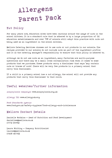#### Nut Policy

For many years now, education sites have been cautious around the usage of nuts in the school kitchen. It is a standard rule that is adhered to by a large proportion of UK education establishments and over 75% of schools still adopt this practice with nuts not being used as an ingredient in the school kitchen.

Mellors Catering Services chooses not to use nuts or nut products in our schools. The recipes provided to our schools do not include nuts as part of the ingredient profile and it is the catering manager's responsibility to ensure that this policy is adhered to.

Although we do not use nuts as an ingredient, many factories are multi-purpose operations and there may be a small cross contamination risk when it comes to some products that we purchase. These products carry a disclaimer that says 'may contain nuts or traces of nuts'. There will be very few products in a primary school that carry this disclaimer.

If a child in a primary school has a nut allergy, the school will not provide any products that carry this disclaimer to that child.

### Useful websites/further information

Anaphylaxis campaign: www.anaphylaxis.org.uk

Allergy UK: www.allergyuk.org

Food Standards Agency: www.food.gov.uk/safety-hygiene/food-allergy-and-intolerance

#### Mellors Contact Details

Danielle Watkins - Head of Nutrition and Food Development daniellew@mellors.co.uk 07772 637352

Laura Whiting - Company Nutritionist lauraw@mellors.co.uk 07908 467762